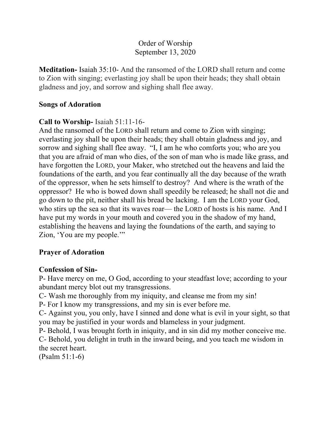## Order of Worship September 13, 2020

**Meditation-** Isaiah 35:10- And the ransomed of the LORD shall return and come to Zion with singing; everlasting joy shall be upon their heads; they shall obtain gladness and joy, and sorrow and sighing shall flee away.

#### **Songs of Adoration**

## **Call to Worship-** Isaiah 51:11-16-

And the ransomed of the LORD shall return and come to Zion with singing; everlasting joy shall be upon their heads; they shall obtain gladness and joy, and sorrow and sighing shall flee away. "I, I am he who comforts you; who are you that you are afraid of man who dies, of the son of man who is made like grass, and have forgotten the LORD, your Maker, who stretched out the heavens and laid the foundations of the earth, and you fear continually all the day because of the wrath of the oppressor, when he sets himself to destroy? And where is the wrath of the oppressor? He who is bowed down shall speedily be released; he shall not die and go down to the pit, neither shall his bread be lacking. I am the LORD your God, who stirs up the sea so that its waves roar— the LORD of hosts is his name. And I have put my words in your mouth and covered you in the shadow of my hand, establishing the heavens and laying the foundations of the earth, and saying to Zion, 'You are my people.'"

## **Prayer of Adoration**

## **Confession of Sin-**

P- Have mercy on me, O God, according to your steadfast love; according to your abundant mercy blot out my transgressions.

C- Wash me thoroughly from my iniquity, and cleanse me from my sin!

P- For I know my transgressions, and my sin is ever before me.

C- Against you, you only, have I sinned and done what is evil in your sight, so that you may be justified in your words and blameless in your judgment.

P- Behold, I was brought forth in iniquity, and in sin did my mother conceive me. C- Behold, you delight in truth in the inward being, and you teach me wisdom in the secret heart.

(Psalm 51:1-6)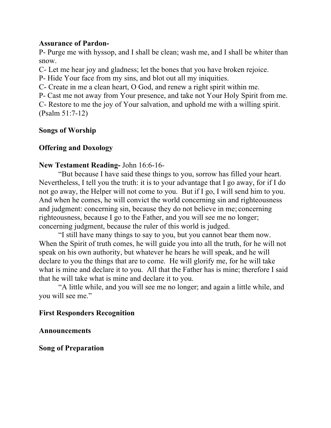## **Assurance of Pardon-**

P- Purge me with hyssop, and I shall be clean; wash me, and I shall be whiter than snow.

C- Let me hear joy and gladness; let the bones that you have broken rejoice.

P- Hide Your face from my sins, and blot out all my iniquities.

C- Create in me a clean heart, O God, and renew a right spirit within me.

P- Cast me not away from Your presence, and take not Your Holy Spirit from me.

C- Restore to me the joy of Your salvation, and uphold me with a willing spirit. (Psalm 51:7-12)

## **Songs of Worship**

# **Offering and Doxology**

## **New Testament Reading-** John 16:6-16-

"But because I have said these things to you, sorrow has filled your heart. Nevertheless, I tell you the truth: it is to your advantage that I go away, for if I do not go away, the Helper will not come to you. But if I go, I will send him to you. And when he comes, he will convict the world concerning sin and righteousness and judgment: concerning sin, because they do not believe in me; concerning righteousness, because I go to the Father, and you will see me no longer; concerning judgment, because the ruler of this world is judged.

"I still have many things to say to you, but you cannot bear them now. When the Spirit of truth comes, he will guide you into all the truth, for he will not speak on his own authority, but whatever he hears he will speak, and he will declare to you the things that are to come. He will glorify me, for he will take what is mine and declare it to you. All that the Father has is mine; therefore I said that he will take what is mine and declare it to you.

"A little while, and you will see me no longer; and again a little while, and you will see me."

## **First Responders Recognition**

**Announcements**

**Song of Preparation**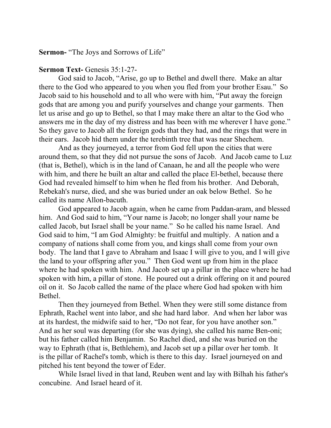**Sermon-** "The Joys and Sorrows of Life"

#### **Sermon Text-** Genesis 35:1-27-

God said to Jacob, "Arise, go up to Bethel and dwell there. Make an altar there to the God who appeared to you when you fled from your brother Esau." So Jacob said to his household and to all who were with him, "Put away the foreign gods that are among you and purify yourselves and change your garments. Then let us arise and go up to Bethel, so that I may make there an altar to the God who answers me in the day of my distress and has been with me wherever I have gone." So they gave to Jacob all the foreign gods that they had, and the rings that were in their ears. Jacob hid them under the terebinth tree that was near Shechem.

And as they journeyed, a terror from God fell upon the cities that were around them, so that they did not pursue the sons of Jacob. And Jacob came to Luz (that is, Bethel), which is in the land of Canaan, he and all the people who were with him, and there he built an altar and called the place El-bethel, because there God had revealed himself to him when he fled from his brother. And Deborah, Rebekah's nurse, died, and she was buried under an oak below Bethel. So he called its name Allon-bacuth.

God appeared to Jacob again, when he came from Paddan-aram, and blessed him. And God said to him, "Your name is Jacob; no longer shall your name be called Jacob, but Israel shall be your name." So he called his name Israel. And God said to him, "I am God Almighty: be fruitful and multiply. A nation and a company of nations shall come from you, and kings shall come from your own body. The land that I gave to Abraham and Isaac I will give to you, and I will give the land to your offspring after you." Then God went up from him in the place where he had spoken with him. And Jacob set up a pillar in the place where he had spoken with him, a pillar of stone. He poured out a drink offering on it and poured oil on it. So Jacob called the name of the place where God had spoken with him Bethel.

Then they journeyed from Bethel. When they were still some distance from Ephrath, Rachel went into labor, and she had hard labor. And when her labor was at its hardest, the midwife said to her, "Do not fear, for you have another son." And as her soul was departing (for she was dying), she called his name Ben-oni; but his father called him Benjamin. So Rachel died, and she was buried on the way to Ephrath (that is, Bethlehem), and Jacob set up a pillar over her tomb. It is the pillar of Rachel's tomb, which is there to this day. Israel journeyed on and pitched his tent beyond the tower of Eder.

While Israel lived in that land, Reuben went and lay with Bilhah his father's concubine. And Israel heard of it.